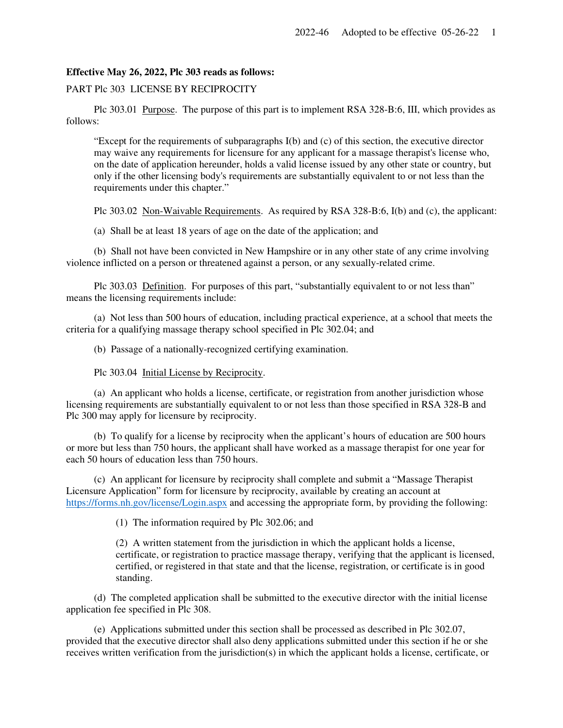## **Effective May 26, 2022, Plc 303 reads as follows:**

## PART Plc 303 LICENSE BY RECIPROCITY

 Plc 303.01 Purpose. The purpose of this part is to implement RSA 328-B:6, III, which provides as follows:

"Except for the requirements of subparagraphs I(b) and (c) of this section, the executive director may waive any requirements for licensure for any applicant for a massage therapist's license who, on the date of application hereunder, holds a valid license issued by any other state or country, but only if the other licensing body's requirements are substantially equivalent to or not less than the requirements under this chapter."

Plc 303.02 Non-Waivable Requirements. As required by RSA 328-B:6, I(b) and (c), the applicant:

(a) Shall be at least 18 years of age on the date of the application; and

 (b) Shall not have been convicted in New Hampshire or in any other state of any crime involving violence inflicted on a person or threatened against a person, or any sexually-related crime.

Plc 303.03 Definition. For purposes of this part, "substantially equivalent to or not less than" means the licensing requirements include:

 (a) Not less than 500 hours of education, including practical experience, at a school that meets the criteria for a qualifying massage therapy school specified in Plc 302.04; and

(b) Passage of a nationally-recognized certifying examination.

Plc 303.04 Initial License by Reciprocity.

 (a) An applicant who holds a license, certificate, or registration from another jurisdiction whose licensing requirements are substantially equivalent to or not less than those specified in RSA 328-B and Plc 300 may apply for licensure by reciprocity.

 (b) To qualify for a license by reciprocity when the applicant's hours of education are 500 hours or more but less than 750 hours, the applicant shall have worked as a massage therapist for one year for each 50 hours of education less than 750 hours.

 (c) An applicant for licensure by reciprocity shall complete and submit a "Massage Therapist Licensure Application" form for licensure by reciprocity, available by creating an account at https://forms.nh.gov/license/Login.aspx and accessing the appropriate form, by providing the following:

(1) The information required by Plc 302.06; and

(2) A written statement from the jurisdiction in which the applicant holds a license, certificate, or registration to practice massage therapy, verifying that the applicant is licensed, certified, or registered in that state and that the license, registration, or certificate is in good standing.

 (d) The completed application shall be submitted to the executive director with the initial license application fee specified in Plc 308.

 (e) Applications submitted under this section shall be processed as described in Plc 302.07, provided that the executive director shall also deny applications submitted under this section if he or she receives written verification from the jurisdiction(s) in which the applicant holds a license, certificate, or